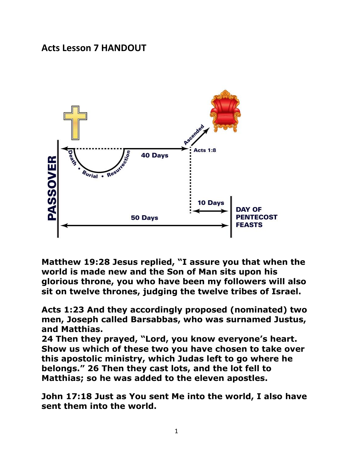## **Acts Lesson 7 HANDOUT**



**Matthew 19:28 Jesus replied, "I assure you that when the world is made new and the Son of Man sits upon his glorious throne, you who have been my followers will also sit on twelve thrones, judging the twelve tribes of Israel.** 

**Acts 1:23 And they accordingly proposed (nominated) two men, Joseph called Barsabbas, who was surnamed Justus, and Matthias.**

**24 Then they prayed, "Lord, you know everyone's heart. Show us which of these two you have chosen to take over this apostolic ministry, which Judas left to go where he belongs." 26 Then they cast lots, and the lot fell to Matthias; so he was added to the eleven apostles.**

**John 17:18 Just as You sent Me into the world, I also have sent them into the world.**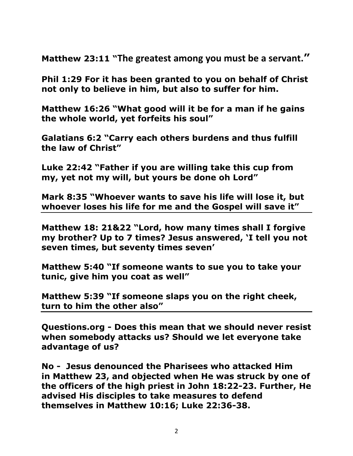**Matthew 23:11 "The greatest among you must be a servant."**

**Phil 1:29 For it has been granted to you on behalf of Christ not only to believe in him, but also to suffer for him.** 

**Matthew 16:26 "What good will it be for a man if he gains the whole world, yet forfeits his soul"** 

**Galatians 6:2 "Carry each others burdens and thus fulfill the law of Christ"** 

**Luke 22:42 "Father if you are willing take this cup from my, yet not my will, but yours be done oh Lord"** 

**Mark 8:35 "Whoever wants to save his life will lose it, but whoever loses his life for me and the Gospel will save it"** 

**Matthew 18: 21&22 "Lord, how many times shall I forgive my brother? Up to 7 times? Jesus answered, 'I tell you not seven times, but seventy times seven'**

**Matthew 5:40 "If someone wants to sue you to take your tunic, give him you coat as well"** 

**Matthew 5:39 "If someone slaps you on the right cheek, turn to him the other also"** 

**Questions.org - Does this mean that we should never resist when somebody attacks us? Should we let everyone take advantage of us?**

**No - Jesus denounced the Pharisees who attacked Him in Matthew 23, and objected when He was struck by one of the officers of the high priest in [John 18:22-23.](http://biblia.com/bible/nkjv/John%2018.22-23) Further, He advised His disciples to take measures to defend themselves in [Matthew 10:16;](http://biblia.com/bible/nkjv/Matt%2010.16) [Luke 22:36-38.](http://biblia.com/bible/nkjv/Luke%2022.36-38)**